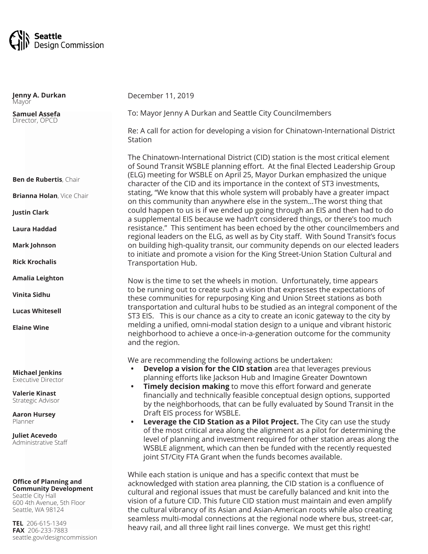

**Ben de Rubertis**, Chair **Brianna Holan**, Vice Chair **Justin Clark Laura Haddad Mark Johnson Rick Krochalis Amalia Leighton Vinita Sidhu Lucas Whitesell Elaine Wine Michael Jenkins** Executive Director **Valerie Kinast** Strategic Advisor **Aaron Hursey** Planner **Juliet Acevedo** Administrative Staff **Jenny A. Durkan Mayor Samuel Assefa** Director, OPCD December 11, 2019 To: Mayor Jenny A Durkan and Seattle City Councilmembers Re: A call for action for developing a vision for Chinatown-International District Station The Chinatown-International District (CID) station is the most critical element of Sound Transit WSBLE planning effort. At the final Elected Leadership Group (ELG) meeting for WSBLE on April 25, Mayor Durkan emphasized the unique character of the CID and its importance in the context of ST3 investments, stating, "We know that this whole system will probably have a greater impact on this community than anywhere else in the system…The worst thing that could happen to us is if we ended up going through an EIS and then had to do a supplemental EIS because we hadn't considered things, or there's too much resistance." This sentiment has been echoed by the other councilmembers and regional leaders on the ELG, as well as by City staff. With Sound Transit's focus on building high-quality transit, our community depends on our elected leaders to initiate and promote a vision for the King Street-Union Station Cultural and Transportation Hub. Now is the time to set the wheels in motion. Unfortunately, time appears to be running out to create such a vision that expresses the expectations of these communities for repurposing King and Union Street stations as both transportation and cultural hubs to be studied as an integral component of the ST3 EIS. This is our chance as a city to create an iconic gateway to the city by melding a unified, omni-modal station design to a unique and vibrant historic neighborhood to achieve a once-in-a-generation outcome for the community and the region. We are recommending the following actions be undertaken: **• Develop a vision for the CID station** area that leverages previous planning efforts like Jackson Hub and Imagine Greater Downtown **Timely decision making** to move this effort forward and generate financially and technically feasible conceptual design options, supported by the neighborhoods, that can be fully evaluated by Sound Transit in the Draft EIS process for WSBLE. **• Leverage the CID Station as a Pilot Project.** The City can use the study of the most critical area along the alignment as a pilot for determining the level of planning and investment required for other station areas along the WSBLE alignment, which can then be funded with the recently requested

> While each station is unique and has a specific context that must be acknowledged with station area planning, the CID station is a confluence of cultural and regional issues that must be carefully balanced and knit into the vision of a future CID. This future CID station must maintain and even amplify the cultural vibrancy of its Asian and Asian-American roots while also creating seamless multi-modal connections at the regional node where bus, street-car, heavy rail, and all three light rail lines converge. We must get this right!

joint ST/City FTA Grant when the funds becomes available.

Seattle, WA 98124 **TEL** 206-615-1349

Seattle City Hall

**Office of Planning and Community Development**

600 4th Avenue, 5th Floor

**FAX** 206-233-7883 seattle.gov/designcommission